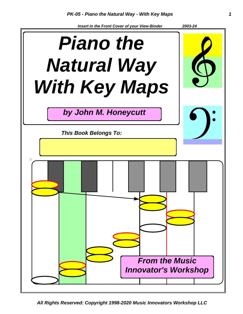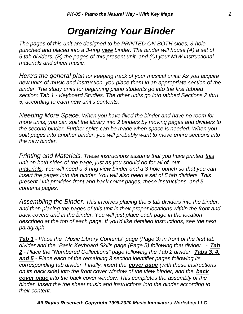## *Organizing Your Binder*

*materials and sheet music. 5 tab dividers, (B) the pages of this present unit, and (C) your MIW instructional punched and placed into a 3-ring* view *binder. The binder will house (A) a set of The pages of this unit are designed to be PRINTED ON BOTH sides, 3-hole*

*5, according to each new unit's contents. section: Tab 1 - Keyboard Studies. The other units go into tabbed Sections 2 thru binder. The study units for beginning piano students go into the first tabbed new units of music and instruction, you place them in an appropriate section of the Here's the general plan for keeping track of your musical units: As you acquire*

*the new binder. split pages into another binder, you will probably want to move entire sections into the second binder. Further splits can be made when space is needed. When you more units, you can split the library into 2 binders by moving pages and dividers to Needing More Space. When you have filled the binder and have no room for*

*contents pages. present Unit provides front and back cover pages, these instructions, and 5 insert the pages into the binder. You will also need a set of 5 tab dividers. This materials. You will need a 3-ring view binder and a 3-hole punch so that you can unit on both sides of the page, just as you should do for all of our Printing and Materials. These instructions assume that you have printed this*

*paragraph. described at the top of each page. If you'd like detailed instructions, see the next back covers and in the binder. You will just place each page in the location and then placing the pages of this unit in their proper locations within the front and Assembling the Binder. This involves placing the 5 tab dividers into the binder,*

*their content. binder. Insert the the sheet music and instructions into the binder according to cover page into the back cover window. This completes the assembly of the on its back side) into the front cover window of the view binder, and the back corresponding tab divider. Finally, insert the cover page (with these instructions and 5 - Place each of the remaining 3 section identifier pages following its 2 - Place the "Numbered Collections" page following the Tab 2 divider. Tabs 3, 4, divider and the "Basic Keyboard Skills page (Page 5) following that divider. - Tab Tab 1 - Place the "Music Library Contents" page (Page 3) in front of the first tab*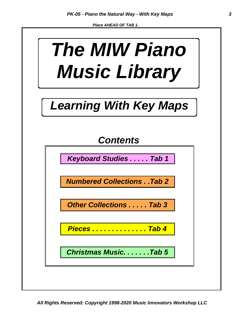*Place AHEAD OF TAB 1.* 

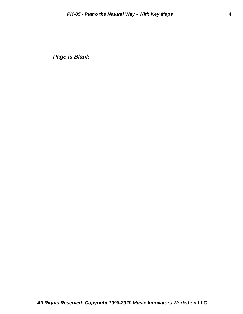*Page is Blank*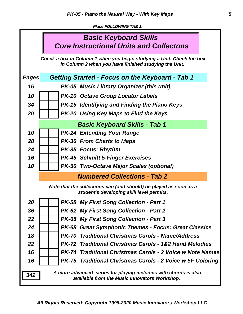*Place FOLLOWING TAB 1.* 

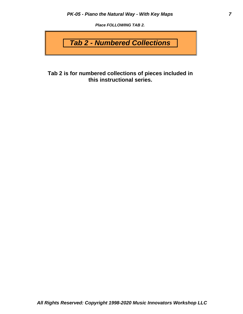*Place FOLLOWING TAB 2.* 



**this instructional series. Tab 2 is for numbered collections of pieces included in**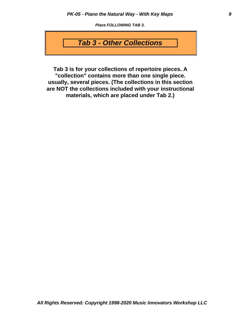*Place FOLLOWING TAB 3.* 

*Tab 3 - Other Collections*

**materials, which are placed under Tab 2.) are NOT the collections included with your instructional usually, several pieces. (The collections in this section "collection" contains more than one single piece. Tab 3 is for your collections of repertoire pieces. A**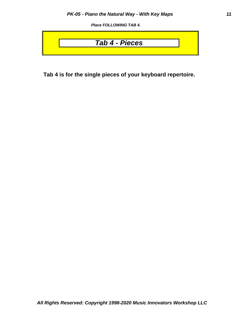*Place FOLLOWING TAB 4.* 



**Tab 4 is for the single pieces of your keyboard repertoire.**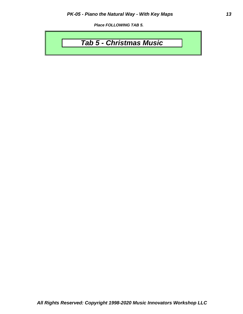*Place FOLLOWING TAB 5.* 

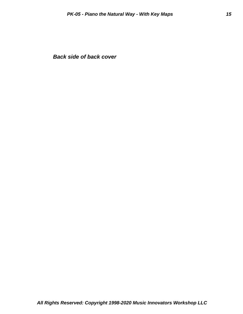*Back side of back cover*